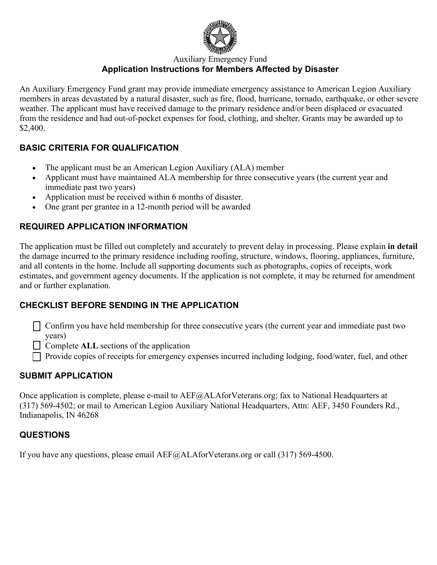

Auxiliary Emergency Fund

# **Application Instructions for Members Affected by Disaster**

An Auxiliary Emergency Fund grant may provide immediate emergency assistance to American Legion Auxiliary members in areas devastated by a natural disaster, such as fire, flood, hurricane, tornado, earthquake, or other severe weather. The applicant must have received damage to the primary residence and/or been displaced or evacuated from the residence and had out-of-pocket expenses for food, clothing, and shelter. Grants may be awarded up to \$2,400.

#### **BASIC CRITERIA FOR QUALIFICATION**

- The applicant must be an American Legion Auxiliary (ALA) member
- Applicant must have maintained ALA membership for three consecutive years (the current year and immediate past two years)
- Application must be received within 6 months of disaster.
- One grant per grantee in a 12-month period will be awarded

# **REQUIRED APPLICATION INFORMATION**

The application must be filled out completely and accurately to prevent delay in processing. Please explain **in detail** the damage incurred to the primary residence including roofing, structure, windows, flooring, appliances, furniture, and all contents in the home. Include all supporting documents such as photographs, copies of receipts, work estimates, and government agency documents. If the application is not complete, it may be returned for amendment and or further explanation.

# **CHECKLIST BEFORE SENDING IN THE APPLICATION**

- $\Box$  Confirm you have held membership for three consecutive years (the current year and immediate past two years)
- □ Complete **ALL** sections of the application
- $\Box$  Provide copies of receipts for emergency expenses incurred including lodging, food/water, fuel, and other

# **SUBMIT APPLICATION**

Once application is complete, please e-mail to AEF@ALAforVeterans.org; fax to National Headquarters at (317) 569-4502; or mail to American Legion Auxiliary National Headquarters, Attn: AEF, 3450 Founders Rd., Indianapolis, IN 46268

# **QUESTIONS**

If you have any questions, please email AEF@ALAforVeterans.org or call (317) 569-4500.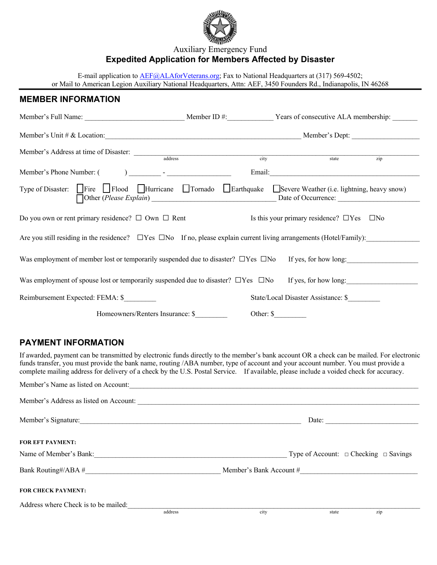

#### Auxiliary Emergency Fund **Expedited Application for Members Affected by Disaster**

E-mail application to **AEF@ALAforVeterans.org**; Fax to National Headquarters at (317) 569-4502; or Mail to American Legion Auxiliary National Headquarters, Attn: AEF, 3450 Founders Rd., Indianapolis, IN 46268

#### **MEMBER INFORMATION**

| Member's Full Name: Member ID #: Years of consecutive ALA membership:                                                                                                                                                         |                                                                                                                 |                       |
|-------------------------------------------------------------------------------------------------------------------------------------------------------------------------------------------------------------------------------|-----------------------------------------------------------------------------------------------------------------|-----------------------|
| Member's Unit # & Location: Member's Dept:                                                                                                                                                                                    |                                                                                                                 |                       |
|                                                                                                                                                                                                                               | city                                                                                                            | state<br>zip          |
| Member's Phone Number: ( ) and the set of the set of the set of the set of the set of the set of the set of the set of the set of the set of the set of the set of the set of the set of the set of the set of the set of the | Email: The Commission of the Commission of the Commission of the Commission of the Commission of the Commission |                       |
| Type of Disaster: Fire Flood Hurricane Tornado Farthquake Severe Weather (i.e. lightning, heavy snow)                                                                                                                         |                                                                                                                 |                       |
| Do you own or rent primary residence? $\Box$ Own $\Box$ Rent                                                                                                                                                                  | Is this your primary residence? $\Box$ Yes $\Box$ No                                                            |                       |
| Are you still residing in the residence? $\Box$ Yes $\Box$ No If no, please explain current living arrangements (Hotel/Family):                                                                                               |                                                                                                                 |                       |
| Was employment of member lost or temporarily suspended due to disaster? $\square$ Yes $\square$ No                                                                                                                            |                                                                                                                 | If yes, for how long: |
| Was employment of spouse lost or temporarily suspended due to disaster? $\square$ Yes $\square$ No                                                                                                                            |                                                                                                                 | If yes, for how long: |
| Reimbursement Expected: FEMA: \$                                                                                                                                                                                              | State/Local Disaster Assistance: \$                                                                             |                       |
| Homeowners/Renters Insurance: \$                                                                                                                                                                                              | Other: \$                                                                                                       |                       |

#### **PAYMENT INFORMATION**

If awarded, payment can be transmitted by electronic funds directly to the member's bank account OR a check can be mailed. For electronic funds transfer, you must provide the bank name, routing /ABA number, type of account and your account number. You must provide a complete mailing address for delivery of a check by the U.S. Postal Service. If available, please include a voided check for accuracy.

| Member's Name as listed on Account:                                                                                                         |         |                         |       |                                                 |
|---------------------------------------------------------------------------------------------------------------------------------------------|---------|-------------------------|-------|-------------------------------------------------|
| Member's Address as listed on Account:                                                                                                      |         |                         |       |                                                 |
| Member's Signature:<br><u> 1990 - Jan James James Jan James James James James James James James James James James James James James Jam</u> |         |                         | Date: |                                                 |
| <b>FOR EFT PAYMENT:</b>                                                                                                                     |         |                         |       |                                                 |
| Name of Member's Bank:                                                                                                                      |         |                         |       | Type of Account: $\Box$ Checking $\Box$ Savings |
| Bank Routing#/ABA #                                                                                                                         |         | Member's Bank Account # |       |                                                 |
| <b>FOR CHECK PAYMENT:</b>                                                                                                                   |         |                         |       |                                                 |
| Address where Check is to be mailed:                                                                                                        |         |                         |       |                                                 |
|                                                                                                                                             | address | city                    | state | zip                                             |